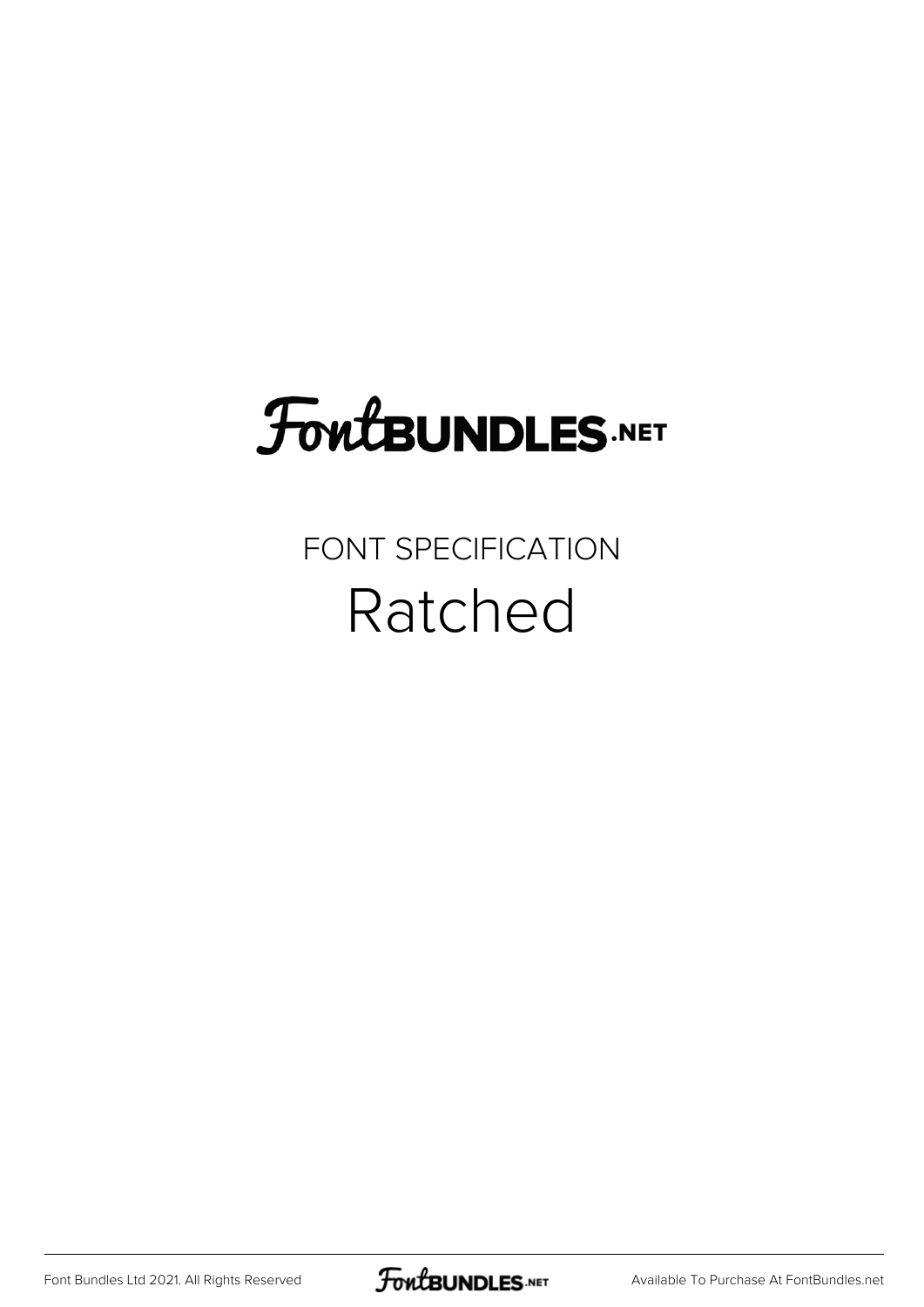## **FoutBUNDLES.NET**

## FONT SPECIFICATION Ratched

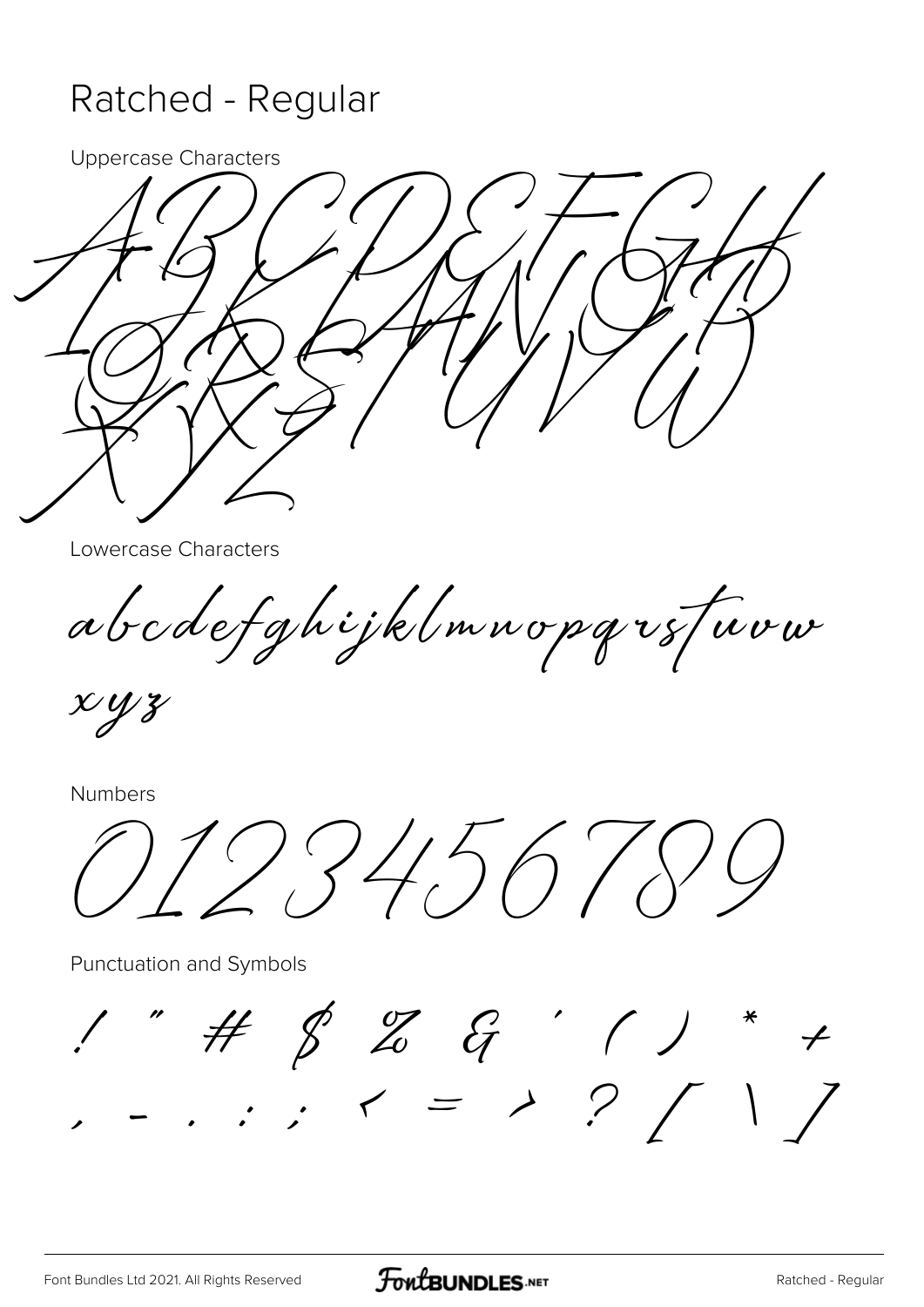## Ratched - Regular

**Uppercase Characters** 



Lowercase Characters

abodefghijklmnopqrsfuvw

 $xyz$ 

Numbers

1234.5678

Punctuation and Symbols

 $1" # $Z G '}/ \r +$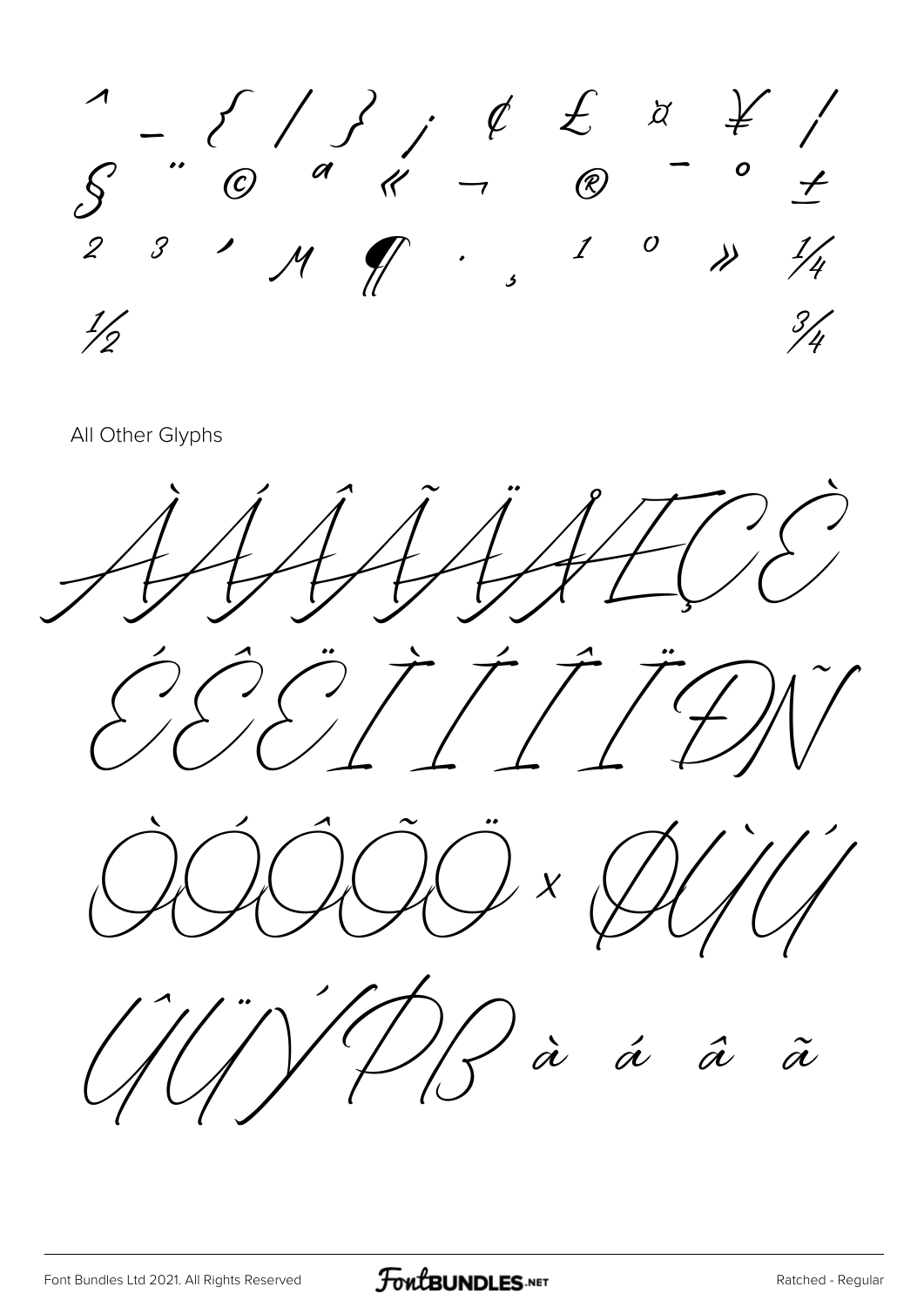

All Other Glyphs

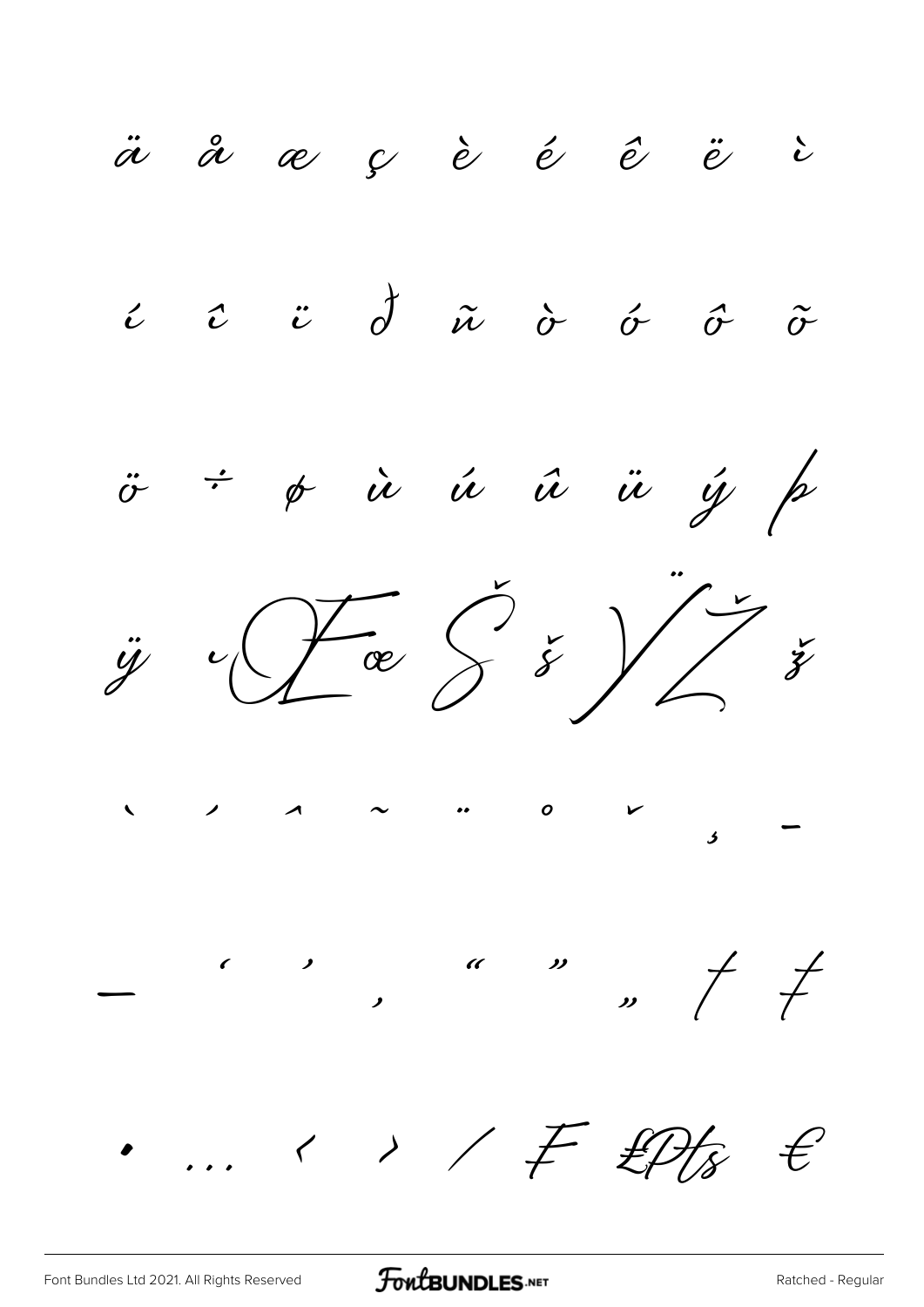